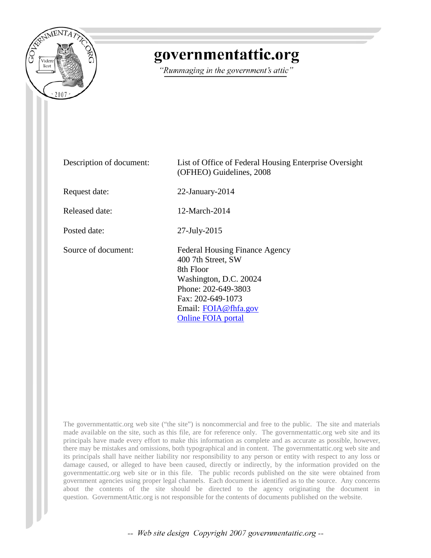

## governmentattic.org

"Rummaging in the government's attic"

| Description of document: | List of Office of Federal Housing Enterprise Oversight<br>(OFHEO) Guidelines, 2008                                                                                                                  |
|--------------------------|-----------------------------------------------------------------------------------------------------------------------------------------------------------------------------------------------------|
| Request date:            | $22$ -January- $2014$                                                                                                                                                                               |
| Released date:           | 12-March-2014                                                                                                                                                                                       |
| Posted date:             | $27$ -July- $2015$                                                                                                                                                                                  |
| Source of document:      | <b>Federal Housing Finance Agency</b><br>400 7th Street, SW<br>8th Floor<br>Washington, D.C. 20024<br>Phone: 202-649-3803<br>Fax: 202-649-1073<br>Email: FOIA@fhfa.gov<br><b>Online FOIA</b> portal |

The governmentattic.org web site ("the site") is noncommercial and free to the public. The site and materials made available on the site, such as this file, are for reference only. The governmentattic.org web site and its principals have made every effort to make this information as complete and as accurate as possible, however, there may be mistakes and omissions, both typographical and in content. The governmentattic.org web site and its principals shall have neither liability nor responsibility to any person or entity with respect to any loss or damage caused, or alleged to have been caused, directly or indirectly, by the information provided on the governmentattic.org web site or in this file. The public records published on the site were obtained from government agencies using proper legal channels. Each document is identified as to the source. Any concerns about the contents of the site should be directed to the agency originating the document in question. GovernmentAttic.org is not responsible for the contents of documents published on the website.

-- Web site design Copyright 2007 governmentattic.org --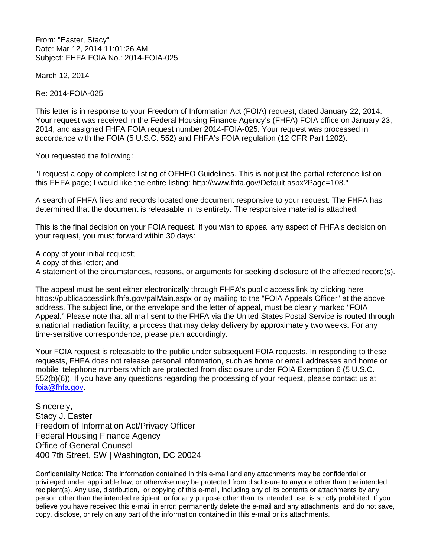From: "Easter, Stacy" Date: Mar 12, 2014 11:01:26 AM Subject: FHFA FOIA No.: 2014-FOIA-025

March 12, 2014

Re: 2014-FOIA-025

This letter is in response to your Freedom of Information Act (FOIA) request, dated January 22, 2014. Your request was received in the Federal Housing Finance Agency's (FHFA) FOIA office on January 23, 2014, and assigned FHFA FOIA request number 2014-FOIA-025. Your request was processed in accordance with the FOIA (5 U.S.C. 552) and FHFA's FOIA regulation (12 CFR Part 1202).

You requested the following:

"I request a copy of complete listing of OFHEO Guidelines. This is not just the partial reference list on this FHFA page; I would like the entire listing: http://www.fhfa.gov/Default.aspx?Page=108."

A search of FHFA files and records located one document responsive to your request. The FHFA has determined that the document is releasable in its entirety. The responsive material is attached.

This is the final decision on your FOIA request. If you wish to appeal any aspect of FHFA's decision on your request, you must forward within 30 days:

A copy of your initial request; A copy of this letter; and A statement of the circumstances, reasons, or arguments for seeking disclosure of the affected record(s).

The appeal must be sent either electronically through FHFA's public access link by clicking here https://publicaccesslink.fhfa.gov/palMain.aspx or by mailing to the "FOIA Appeals Officer" at the above address. The subject line, or the envelope and the letter of appeal, must be clearly marked "FOIA Appeal." Please note that all mail sent to the FHFA via the United States Postal Service is routed through a national irradiation facility, a process that may delay delivery by approximately two weeks. For any time-sensitive correspondence, please plan accordingly.

Your FOIA request is releasable to the public under subsequent FOIA requests. In responding to these requests, FHFA does not release personal information, such as home or email addresses and home or mobile telephone numbers which are protected from disclosure under FOIA Exemption 6 (5 U.S.C. 552(b)(6)). If you have any questions regarding the processing of your request, please contact us at [foia@fhfa.gov.](mailto:foia@fhfa.gov)

Sincerely, Stacy J. Easter Freedom of Information Act/Privacy Officer Federal Housing Finance Agency Office of General Counsel 400 7th Street, SW | Washington, DC 20024

Confidentiality Notice: The information contained in this e-mail and any attachments may be confidential or privileged under applicable law, or otherwise may be protected from disclosure to anyone other than the intended recipient(s). Any use, distribution, or copying of this e-mail, including any of its contents or attachments by any person other than the intended recipient, or for any purpose other than its intended use, is strictly prohibited. If you believe you have received this e-mail in error: permanently delete the e-mail and any attachments, and do not save, copy, disclose, or rely on any part of the information contained in this e-mail or its attachments.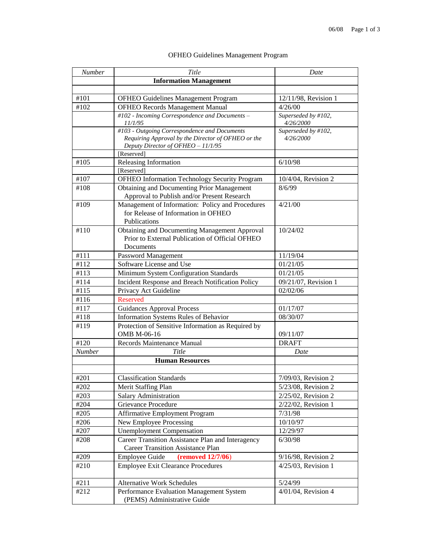| Number        | Title                                                                                    | Date                             |
|---------------|------------------------------------------------------------------------------------------|----------------------------------|
|               | <b>Information Management</b>                                                            |                                  |
|               |                                                                                          |                                  |
| #101          | OFHEO Guidelines Management Program                                                      | 12/11/98, Revision 1             |
| #102          | <b>OFHEO Records Management Manual</b>                                                   | 4/26/00                          |
|               | #102 - Incoming Correspondence and Documents -                                           | Superseded by #102,              |
|               | 11/1/95                                                                                  | 4/26/2000                        |
|               | #103 - Outgoing Correspondence and Documents                                             | Superseded by #102,<br>4/26/2000 |
|               | Requiring Approval by the Director of OFHEO or the<br>Deputy Director of OFHEO - 11/1/95 |                                  |
|               | [Reserved]                                                                               |                                  |
| #105          | Releasing Information                                                                    | 6/10/98                          |
|               | [Reserved]                                                                               |                                  |
| #107          | OFHEO Information Technology Security Program                                            | 10/4/04, Revision 2              |
| #108          | Obtaining and Documenting Prior Management                                               | 8/6/99                           |
|               | Approval to Publish and/or Present Research                                              |                                  |
| #109          | Management of Information: Policy and Procedures                                         | 4/21/00                          |
|               | for Release of Information in OFHEO                                                      |                                  |
|               | Publications                                                                             |                                  |
| #110          | Obtaining and Documenting Management Approval                                            | 10/24/02                         |
|               | Prior to External Publication of Official OFHEO                                          |                                  |
|               | Documents                                                                                |                                  |
| #111          | Password Management                                                                      | 11/19/04                         |
| #112          | Software License and Use                                                                 | 01/21/05                         |
| #113          | Minimum System Configuration Standards                                                   | 01/21/05                         |
| #114          | Incident Response and Breach Notification Policy                                         | 09/21/07, Revision 1             |
| #115          | Privacy Act Guideline                                                                    | 02/02/06                         |
| #116          | <b>Reserved</b>                                                                          |                                  |
| #117          | <b>Guidances Approval Process</b>                                                        | 01/17/07                         |
| #118          | Information Systems Rules of Behavior                                                    | 08/30/07                         |
| #119          | Protection of Sensitive Information as Required by                                       |                                  |
|               | OMB M-06-16                                                                              | 09/11/07                         |
| #120          | Records Maintenance Manual                                                               | <b>DRAFT</b>                     |
| <b>Number</b> | Title                                                                                    | Date                             |
|               | <b>Human Resources</b>                                                                   |                                  |
|               |                                                                                          |                                  |
| #201          | <b>Classification Standards</b>                                                          | $7/09/03$ , Revision 2           |
| #202          | Merit Staffing Plan                                                                      | 5/23/08, Revision 2              |
| #203          | Salary Administration                                                                    | 2/25/02, Revision 2              |
| #204          | Grievance Procedure                                                                      | 2/22/02, Revision 1              |
| #205          | <b>Affirmative Employment Program</b>                                                    | 7/31/98                          |
| #206          | New Employee Processing                                                                  | 10/10/97                         |
| #207          | <b>Unemployment Compensation</b>                                                         | 12/29/97                         |
| #208          | Career Transition Assistance Plan and Interagency                                        | 6/30/98                          |
|               | <b>Career Transition Assistance Plan</b>                                                 |                                  |
| #209          | <b>Employee Guide</b><br>(removed 12/7/06)                                               | 9/16/98, Revision 2              |
| #210          | Employee Exit Clearance Procedures                                                       | 4/25/03, Revision 1              |
| #211          | <b>Alternative Work Schedules</b>                                                        |                                  |
| #212          |                                                                                          | 5/24/99<br>4/01/04, Revision 4   |
|               | Performance Evaluation Management System<br>(PEMS) Administrative Guide                  |                                  |

## OFHEO Guidelines Management Program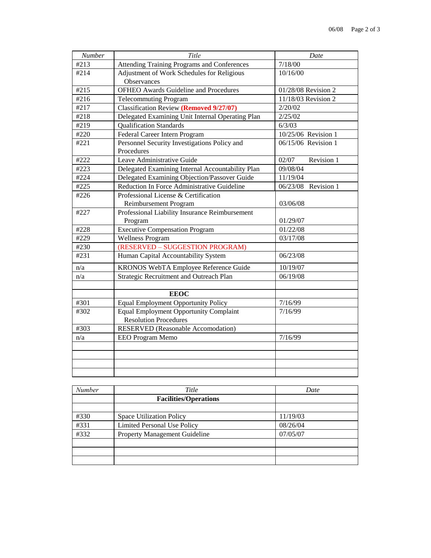| Number | Title                                            | Date                   |
|--------|--------------------------------------------------|------------------------|
| #213   | Attending Training Programs and Conferences      | 7/18/00                |
| #214   | Adjustment of Work Schedules for Religious       | 10/16/00               |
|        | Observances                                      |                        |
| #215   | <b>OFHEO Awards Guideline and Procedures</b>     | 01/28/08 Revision 2    |
| #216   | <b>Telecommuting Program</b>                     | 11/18/03 Revision 2    |
| #217   | <b>Classification Review (Removed 9/27/07)</b>   | 2/20/02                |
| #218   | Delegated Examining Unit Internal Operating Plan | 2/25/02                |
| #219   | <b>Qualification Standards</b>                   | 6/3/03                 |
| #220   | Federal Career Intern Program                    | 10/25/06 Revision 1    |
| #221   | Personnel Security Investigations Policy and     | 06/15/06 Revision 1    |
|        | Procedures                                       |                        |
| #222   | Leave Administrative Guide                       | Revision 1<br>02/07    |
| #223   | Delegated Examining Internal Accountability Plan | 09/08/04               |
| #224   | Delegated Examining Objection/Passover Guide     | 11/19/04               |
| #225   | Reduction In Force Administrative Guideline      | 06/23/08<br>Revision 1 |
| #226   | Professional License & Certification             |                        |
|        | Reimbursement Program                            | 03/06/08               |
| #227   | Professional Liability Insurance Reimbursement   |                        |
|        | Program                                          | 01/29/07               |
| #228   | <b>Executive Compensation Program</b>            | 01/22/08               |
| #229   | <b>Wellness Program</b>                          | 03/17/08               |
| #230   | (RESERVED - SUGGESTION PROGRAM)                  |                        |
| #231   | Human Capital Accountability System              | 06/23/08               |
| n/a    | KRONOS WebTA Employee Reference Guide            | 10/19/07               |
| n/a    | Strategic Recruitment and Outreach Plan          | 06/19/08               |
|        |                                                  |                        |
|        | <b>EEOC</b>                                      |                        |
| #301   | <b>Equal Employment Opportunity Policy</b>       | 7/16/99                |
| #302   | Equal Employment Opportunity Complaint           | 7/16/99                |
|        | <b>Resolution Procedures</b>                     |                        |
| #303   | <b>RESERVED</b> (Reasonable Accomodation)        |                        |
| n/a    | EEO Program Memo                                 | 7/16/99                |
|        |                                                  |                        |
|        |                                                  |                        |
|        |                                                  |                        |
|        |                                                  |                        |

| <b>Number</b> | Title                                | Date     |
|---------------|--------------------------------------|----------|
|               | <b>Facilities/Operations</b>         |          |
|               |                                      |          |
| #330          | <b>Space Utilization Policy</b>      | 11/19/03 |
| #331          | <b>Limited Personal Use Policy</b>   | 08/26/04 |
| #332          | <b>Property Management Guideline</b> | 07/05/07 |
|               |                                      |          |
|               |                                      |          |
|               |                                      |          |